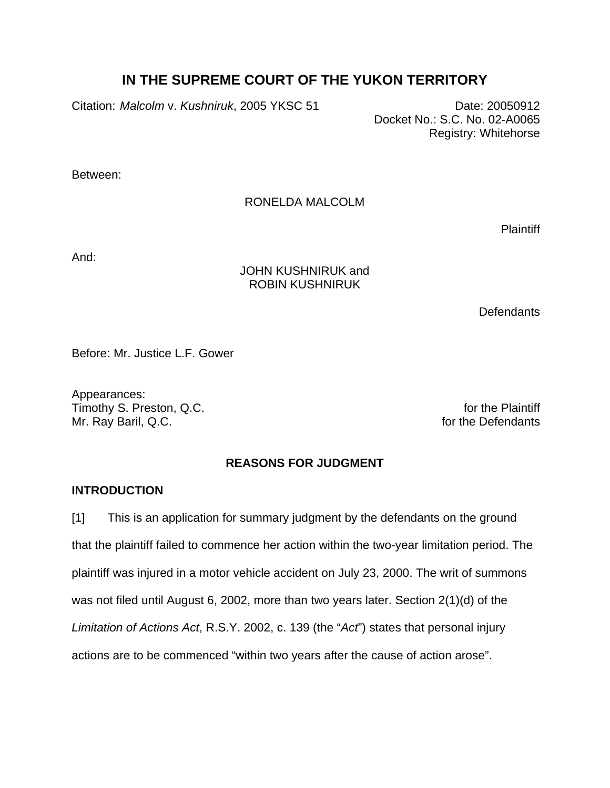# **IN THE SUPREME COURT OF THE YUKON TERRITORY**

Citation: Malcolm v. Kushniruk, 2005 YKSC 51 Date: 20050912

 Docket No.: S.C. No. 02-A0065 Registry: Whitehorse

Between:

## RONELDA MALCOLM

**Plaintiff** 

And:

## JOHN KUSHNIRUK and ROBIN KUSHNIRUK

**Defendants** 

Before: Mr. Justice L.F. Gower

Appearances: Timothy S. Preston, Q.C. **For the Plaintiff** and the Plaintiff and the Plaintiff and the Plaintiff and the Plaintiff Mr. Ray Baril, Q.C. **For the Defendants** 

## **REASONS FOR JUDGMENT**

## **INTRODUCTION**

[1] This is an application for summary judgment by the defendants on the ground that the plaintiff failed to commence her action within the two-year limitation period. The plaintiff was injured in a motor vehicle accident on July 23, 2000. The writ of summons was not filed until August 6, 2002, more than two years later. Section 2(1)(d) of the *Limitation of Actions Act*, R.S.Y. 2002, c. 139 (the "*Act*") states that personal injury actions are to be commenced "within two years after the cause of action arose".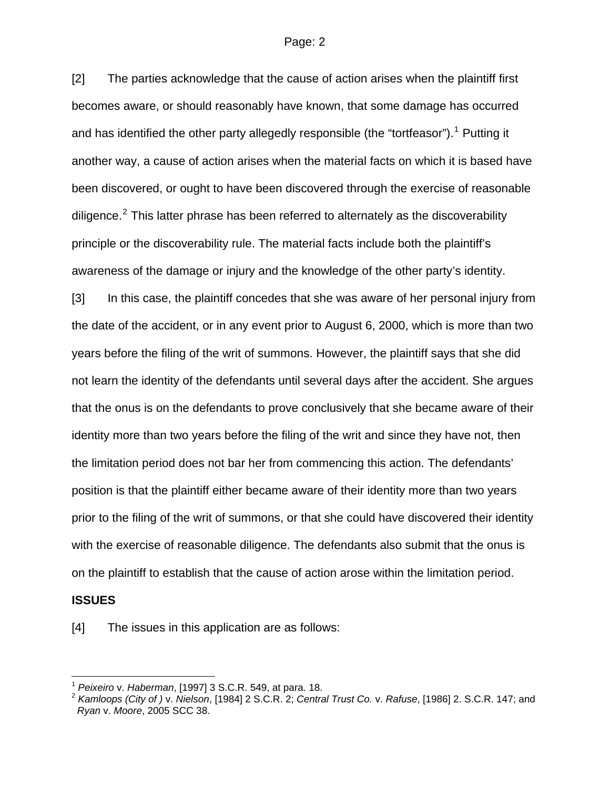[2] The parties acknowledge that the cause of action arises when the plaintiff first becomes aware, or should reasonably have known, that some damage has occurred and has identified the other party allegedly responsible (the "tortfeasor").<sup>[1](#page-1-0)</sup> Putting it another way, a cause of action arises when the material facts on which it is based have been discovered, or ought to have been discovered through the exercise of reasonable diligence. $2$  This latter phrase has been referred to alternately as the discoverability principle or the discoverability rule. The material facts include both the plaintiff's awareness of the damage or injury and the knowledge of the other party's identity.

[3] In this case, the plaintiff concedes that she was aware of her personal injury from the date of the accident, or in any event prior to August 6, 2000, which is more than two years before the filing of the writ of summons. However, the plaintiff says that she did not learn the identity of the defendants until several days after the accident. She argues that the onus is on the defendants to prove conclusively that she became aware of their identity more than two years before the filing of the writ and since they have not, then the limitation period does not bar her from commencing this action. The defendants' position is that the plaintiff either became aware of their identity more than two years prior to the filing of the writ of summons, or that she could have discovered their identity with the exercise of reasonable diligence. The defendants also submit that the onus is on the plaintiff to establish that the cause of action arose within the limitation period.

#### **ISSUES**

 $\overline{a}$ 

[4] The issues in this application are as follows:

<span id="page-1-1"></span><span id="page-1-0"></span><sup>1</sup> *Peixeiro* v. *Haberman*, [1997] 3 S.C.R. 549, at para. 18. 2 *Kamloops (City of )* v. *Nielson*, [1984] 2 S.C.R. 2; *Central Trust Co.* v. *Rafuse*, [1986] 2. S.C.R. 147; and *Ryan* v. *Moore*, 2005 SCC 38.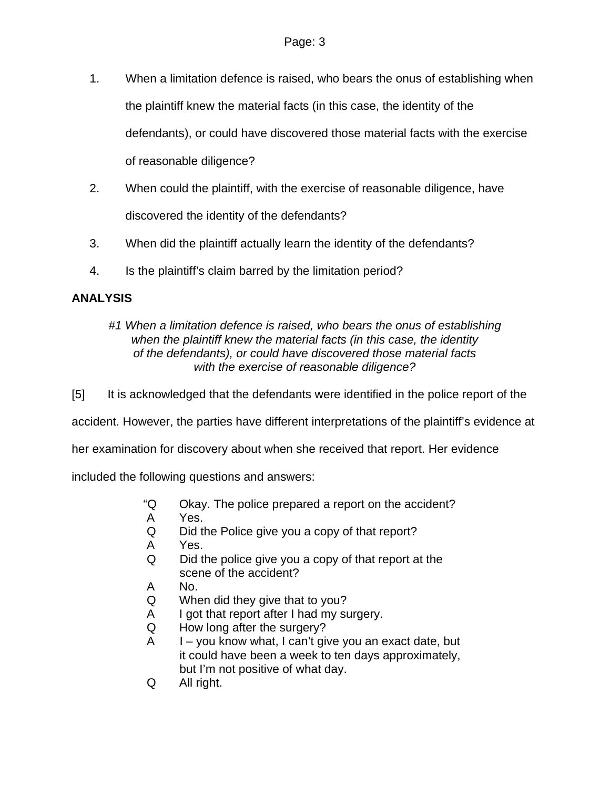- 1. When a limitation defence is raised, who bears the onus of establishing when the plaintiff knew the material facts (in this case, the identity of the defendants), or could have discovered those material facts with the exercise of reasonable diligence?
- 2. When could the plaintiff, with the exercise of reasonable diligence, have discovered the identity of the defendants?
- 3. When did the plaintiff actually learn the identity of the defendants?
- 4. Is the plaintiff's claim barred by the limitation period?

# **ANALYSIS**

## *#1 When a limitation defence is raised, who bears the onus of establishing when the plaintiff knew the material facts (in this case, the identity of the defendants), or could have discovered those material facts with the exercise of reasonable diligence?*

[5] It is acknowledged that the defendants were identified in the police report of the

accident. However, the parties have different interpretations of the plaintiff's evidence at

her examination for discovery about when she received that report. Her evidence

included the following questions and answers:

- "Q Okay. The police prepared a report on the accident?
- A Yes.
- Q Did the Police give you a copy of that report?
- A Yes.
- Q Did the police give you a copy of that report at the scene of the accident?
- A No.
- Q When did they give that to you?
- A I got that report after I had my surgery.
- Q How long after the surgery?
- $A = I you$  know what, I can't give you an exact date, but it could have been a week to ten days approximately, but I'm not positive of what day.
- Q All right.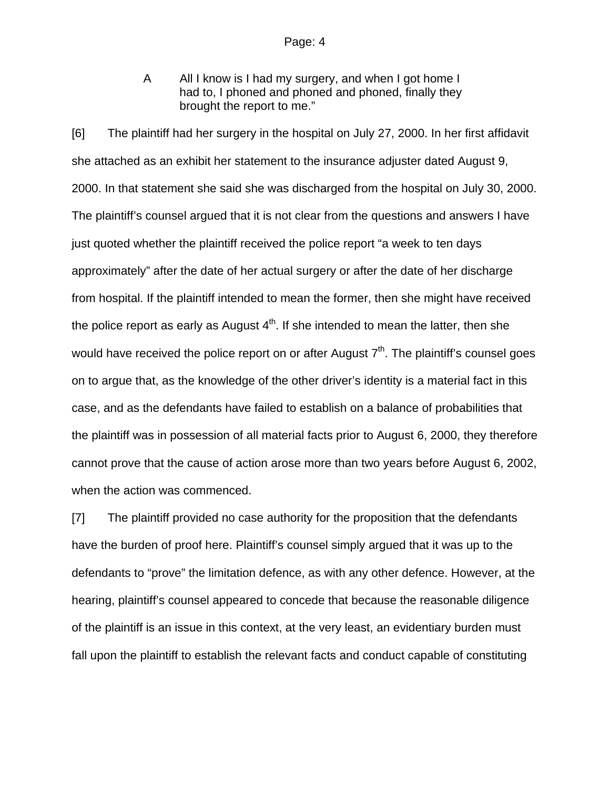A All I know is I had my surgery, and when I got home I had to, I phoned and phoned and phoned, finally they brought the report to me."

[6] The plaintiff had her surgery in the hospital on July 27, 2000. In her first affidavit she attached as an exhibit her statement to the insurance adjuster dated August 9, 2000. In that statement she said she was discharged from the hospital on July 30, 2000. The plaintiff's counsel argued that it is not clear from the questions and answers I have just quoted whether the plaintiff received the police report "a week to ten days approximately" after the date of her actual surgery or after the date of her discharge from hospital. If the plaintiff intended to mean the former, then she might have received the police report as early as August  $4<sup>th</sup>$ . If she intended to mean the latter, then she would have received the police report on or after August  $7<sup>th</sup>$ . The plaintiff's counsel goes on to argue that, as the knowledge of the other driver's identity is a material fact in this case, and as the defendants have failed to establish on a balance of probabilities that the plaintiff was in possession of all material facts prior to August 6, 2000, they therefore cannot prove that the cause of action arose more than two years before August 6, 2002, when the action was commenced.

[7] The plaintiff provided no case authority for the proposition that the defendants have the burden of proof here. Plaintiff's counsel simply argued that it was up to the defendants to "prove" the limitation defence, as with any other defence. However, at the hearing, plaintiff's counsel appeared to concede that because the reasonable diligence of the plaintiff is an issue in this context, at the very least, an evidentiary burden must fall upon the plaintiff to establish the relevant facts and conduct capable of constituting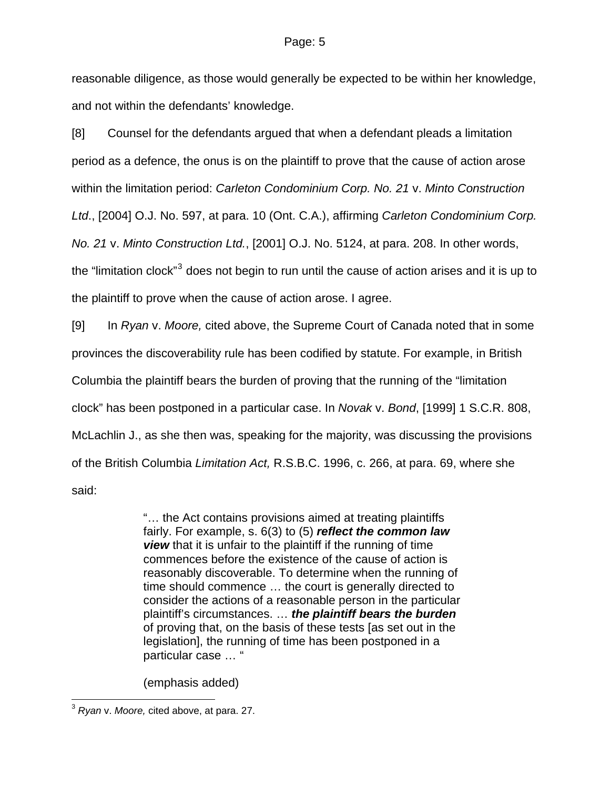reasonable diligence, as those would generally be expected to be within her knowledge, and not within the defendants' knowledge.

[8] Counsel for the defendants argued that when a defendant pleads a limitation period as a defence, the onus is on the plaintiff to prove that the cause of action arose within the limitation period: *Carleton Condominium Corp. No. 21* v. *Minto Construction Ltd*., [2004] O.J. No. 597, at para. 10 (Ont. C.A.), affirming *Carleton Condominium Corp. No. 21* v. *Minto Construction Ltd.*, [2001] O.J. No. 5124, at para. 208. In other words, the "limitation clock"<sup>[3](#page-4-0)</sup> does not begin to run until the cause of action arises and it is up to the plaintiff to prove when the cause of action arose. I agree.

[9] In *Ryan* v. *Moore,* cited above, the Supreme Court of Canada noted that in some provinces the discoverability rule has been codified by statute. For example, in British Columbia the plaintiff bears the burden of proving that the running of the "limitation clock" has been postponed in a particular case. In *Novak* v. *Bond*, [1999] 1 S.C.R. 808, McLachlin J., as she then was, speaking for the majority, was discussing the provisions of the British Columbia *Limitation Act,* R.S.B.C. 1996, c. 266, at para. 69, where she said:

> "… the Act contains provisions aimed at treating plaintiffs fairly. For example, s. 6(3) to (5) *reflect the common law view* that it is unfair to the plaintiff if the running of time commences before the existence of the cause of action is reasonably discoverable. To determine when the running of time should commence … the court is generally directed to consider the actions of a reasonable person in the particular plaintiff's circumstances. … *the plaintiff bears the burden* of proving that, on the basis of these tests [as set out in the legislation], the running of time has been postponed in a particular case … "

(emphasis added)

 $\overline{a}$ 

<span id="page-4-0"></span><sup>3</sup> *Ryan* v. *Moore,* cited above, at para. 27.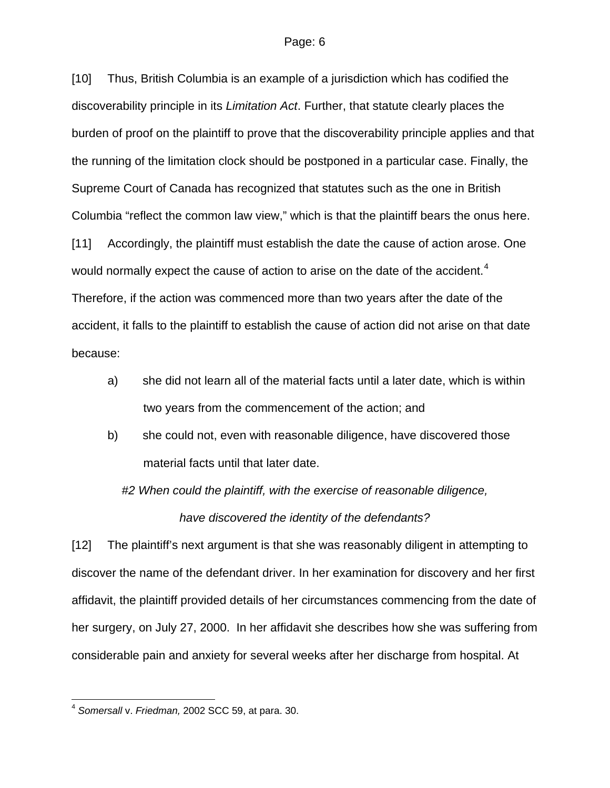[10] Thus, British Columbia is an example of a jurisdiction which has codified the discoverability principle in its *Limitation Act*. Further, that statute clearly places the burden of proof on the plaintiff to prove that the discoverability principle applies and that the running of the limitation clock should be postponed in a particular case. Finally, the Supreme Court of Canada has recognized that statutes such as the one in British Columbia "reflect the common law view," which is that the plaintiff bears the onus here.

[11] Accordingly, the plaintiff must establish the date the cause of action arose. One would normally expect the cause of action to arise on the date of the accident.<sup>[4](#page-5-0)</sup> Therefore, if the action was commenced more than two years after the date of the accident, it falls to the plaintiff to establish the cause of action did not arise on that date because:

- a) she did not learn all of the material facts until a later date, which is within two years from the commencement of the action; and
- b) she could not, even with reasonable diligence, have discovered those material facts until that later date.

*#2 When could the plaintiff, with the exercise of reasonable diligence, have discovered the identity of the defendants?* 

[12] The plaintiff's next argument is that she was reasonably diligent in attempting to discover the name of the defendant driver. In her examination for discovery and her first affidavit, the plaintiff provided details of her circumstances commencing from the date of her surgery, on July 27, 2000. In her affidavit she describes how she was suffering from considerable pain and anxiety for several weeks after her discharge from hospital. At

 $\overline{a}$ 

<span id="page-5-0"></span><sup>4</sup> *Somersall* v. *Friedman,* 2002 SCC 59, at para. 30.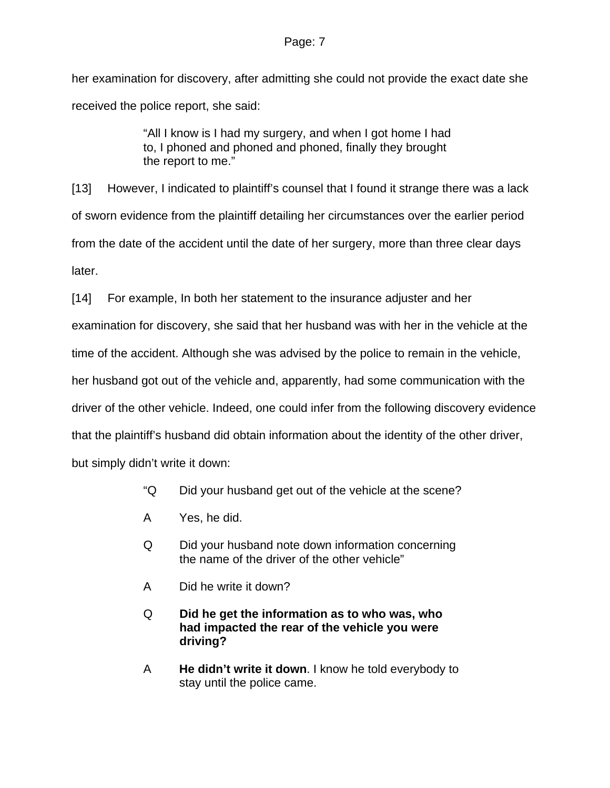her examination for discovery, after admitting she could not provide the exact date she received the police report, she said:

> "All I know is I had my surgery, and when I got home I had to, I phoned and phoned and phoned, finally they brought the report to me."

[13] However, I indicated to plaintiff's counsel that I found it strange there was a lack of sworn evidence from the plaintiff detailing her circumstances over the earlier period from the date of the accident until the date of her surgery, more than three clear days later.

[14] For example, In both her statement to the insurance adjuster and her

examination for discovery, she said that her husband was with her in the vehicle at the

time of the accident. Although she was advised by the police to remain in the vehicle,

her husband got out of the vehicle and, apparently, had some communication with the

driver of the other vehicle. Indeed, one could infer from the following discovery evidence

that the plaintiff's husband did obtain information about the identity of the other driver,

but simply didn't write it down:

- "Q Did your husband get out of the vehicle at the scene?
- A Yes, he did.
- Q Did your husband note down information concerning the name of the driver of the other vehicle"
- A Did he write it down?
- Q **Did he get the information as to who was, who had impacted the rear of the vehicle you were driving?**
- A **He didn't write it down**. I know he told everybody to stay until the police came.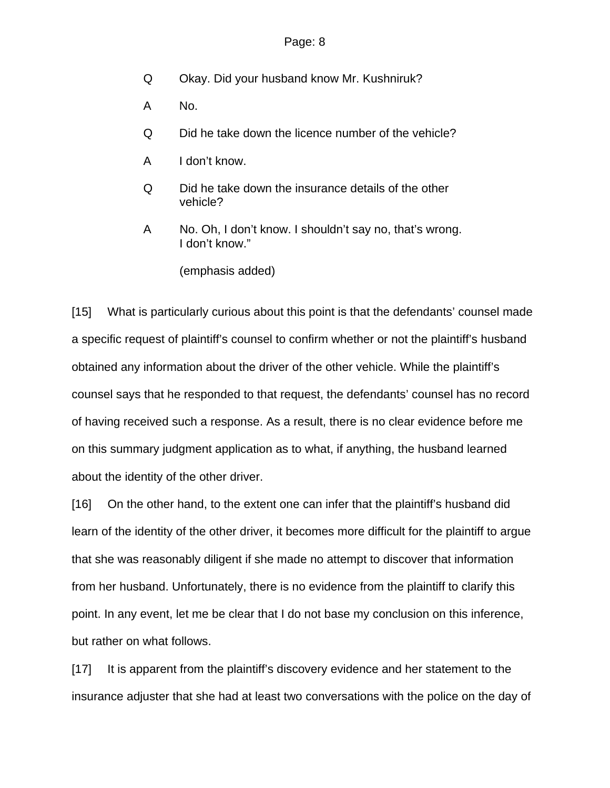- Q Okay. Did your husband know Mr. Kushniruk?
- A No.
- Q Did he take down the licence number of the vehicle?
- A I don't know.
- Q Did he take down the insurance details of the other vehicle?
- A No. Oh, I don't know. I shouldn't say no, that's wrong. I don't know."

(emphasis added)

[15] What is particularly curious about this point is that the defendants' counsel made a specific request of plaintiff's counsel to confirm whether or not the plaintiff's husband obtained any information about the driver of the other vehicle. While the plaintiff's counsel says that he responded to that request, the defendants' counsel has no record of having received such a response. As a result, there is no clear evidence before me on this summary judgment application as to what, if anything, the husband learned about the identity of the other driver.

[16] On the other hand, to the extent one can infer that the plaintiff's husband did learn of the identity of the other driver, it becomes more difficult for the plaintiff to argue that she was reasonably diligent if she made no attempt to discover that information from her husband. Unfortunately, there is no evidence from the plaintiff to clarify this point. In any event, let me be clear that I do not base my conclusion on this inference, but rather on what follows.

[17] It is apparent from the plaintiff's discovery evidence and her statement to the insurance adjuster that she had at least two conversations with the police on the day of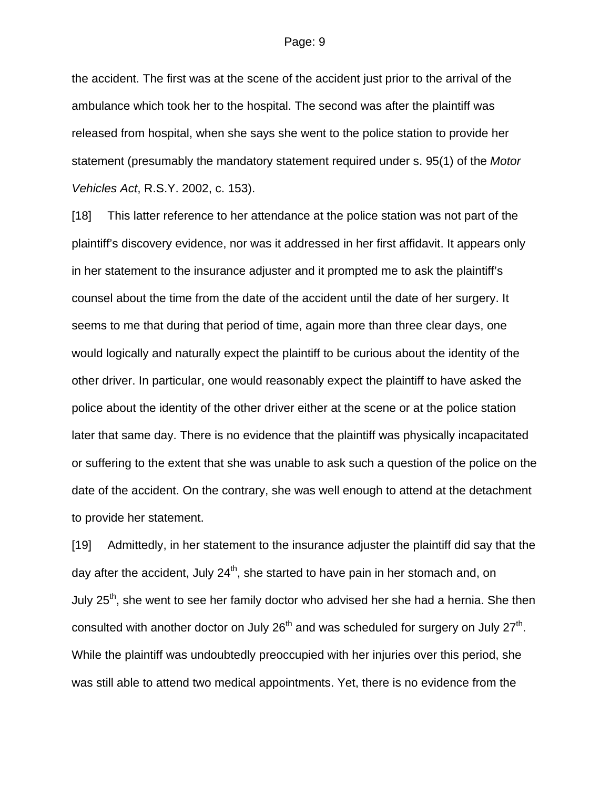the accident. The first was at the scene of the accident just prior to the arrival of the ambulance which took her to the hospital. The second was after the plaintiff was released from hospital, when she says she went to the police station to provide her statement (presumably the mandatory statement required under s. 95(1) of the *Motor Vehicles Act*, R.S.Y. 2002, c. 153).

[18] This latter reference to her attendance at the police station was not part of the plaintiff's discovery evidence, nor was it addressed in her first affidavit. It appears only in her statement to the insurance adjuster and it prompted me to ask the plaintiff's counsel about the time from the date of the accident until the date of her surgery. It seems to me that during that period of time, again more than three clear days, one would logically and naturally expect the plaintiff to be curious about the identity of the other driver. In particular, one would reasonably expect the plaintiff to have asked the police about the identity of the other driver either at the scene or at the police station later that same day. There is no evidence that the plaintiff was physically incapacitated or suffering to the extent that she was unable to ask such a question of the police on the date of the accident. On the contrary, she was well enough to attend at the detachment to provide her statement.

[19] Admittedly, in her statement to the insurance adjuster the plaintiff did say that the day after the accident, July  $24<sup>th</sup>$ , she started to have pain in her stomach and, on July  $25<sup>th</sup>$ , she went to see her family doctor who advised her she had a hernia. She then consulted with another doctor on July  $26<sup>th</sup>$  and was scheduled for surgery on July  $27<sup>th</sup>$ . While the plaintiff was undoubtedly preoccupied with her injuries over this period, she was still able to attend two medical appointments. Yet, there is no evidence from the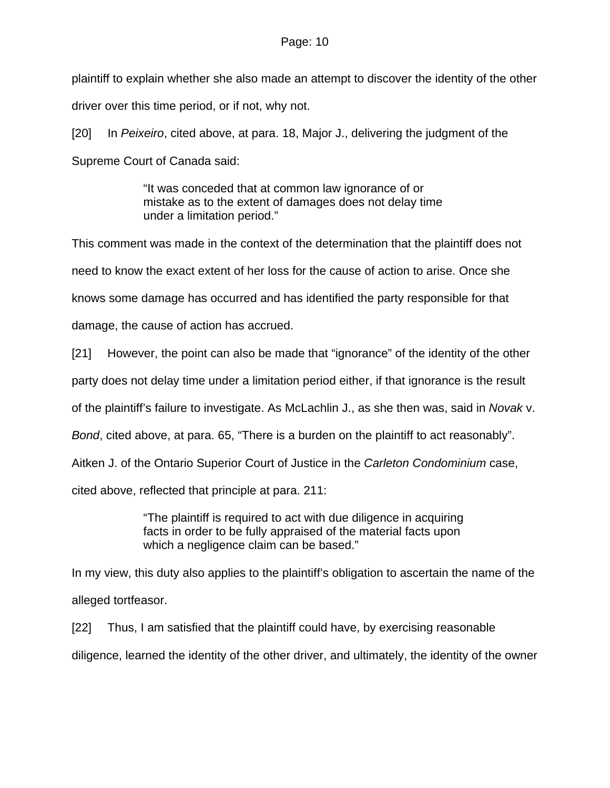plaintiff to explain whether she also made an attempt to discover the identity of the other driver over this time period, or if not, why not.

[20] In *Peixeiro*, cited above, at para. 18, Major J., delivering the judgment of the Supreme Court of Canada said:

> "It was conceded that at common law ignorance of or mistake as to the extent of damages does not delay time under a limitation period."

This comment was made in the context of the determination that the plaintiff does not need to know the exact extent of her loss for the cause of action to arise. Once she knows some damage has occurred and has identified the party responsible for that damage, the cause of action has accrued.

[21] However, the point can also be made that "ignorance" of the identity of the other

party does not delay time under a limitation period either, if that ignorance is the result

of the plaintiff's failure to investigate. As McLachlin J., as she then was, said in *Novak* v.

*Bond*, cited above, at para. 65, "There is a burden on the plaintiff to act reasonably".

Aitken J. of the Ontario Superior Court of Justice in the *Carleton Condominium* case,

cited above, reflected that principle at para. 211:

"The plaintiff is required to act with due diligence in acquiring facts in order to be fully appraised of the material facts upon which a negligence claim can be based."

In my view, this duty also applies to the plaintiff's obligation to ascertain the name of the alleged tortfeasor.

[22] Thus, I am satisfied that the plaintiff could have, by exercising reasonable diligence, learned the identity of the other driver, and ultimately, the identity of the owner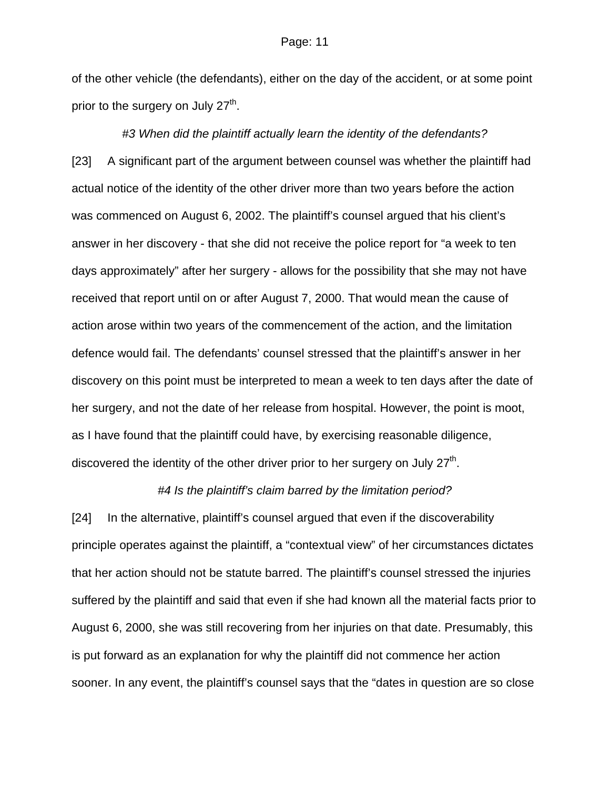of the other vehicle (the defendants), either on the day of the accident, or at some point prior to the surgery on July  $27<sup>th</sup>$ .

*#3 When did the plaintiff actually learn the identity of the defendants?*  [23] A significant part of the argument between counsel was whether the plaintiff had actual notice of the identity of the other driver more than two years before the action was commenced on August 6, 2002. The plaintiff's counsel argued that his client's answer in her discovery - that she did not receive the police report for "a week to ten days approximately" after her surgery - allows for the possibility that she may not have received that report until on or after August 7, 2000. That would mean the cause of action arose within two years of the commencement of the action, and the limitation defence would fail. The defendants' counsel stressed that the plaintiff's answer in her discovery on this point must be interpreted to mean a week to ten days after the date of her surgery, and not the date of her release from hospital. However, the point is moot, as I have found that the plaintiff could have, by exercising reasonable diligence, discovered the identity of the other driver prior to her surgery on July  $27<sup>th</sup>$ .

### *#4 Is the plaintiff's claim barred by the limitation period?*

[24] In the alternative, plaintiff's counsel argued that even if the discoverability principle operates against the plaintiff, a "contextual view" of her circumstances dictates that her action should not be statute barred. The plaintiff's counsel stressed the injuries suffered by the plaintiff and said that even if she had known all the material facts prior to August 6, 2000, she was still recovering from her injuries on that date. Presumably, this is put forward as an explanation for why the plaintiff did not commence her action sooner. In any event, the plaintiff's counsel says that the "dates in question are so close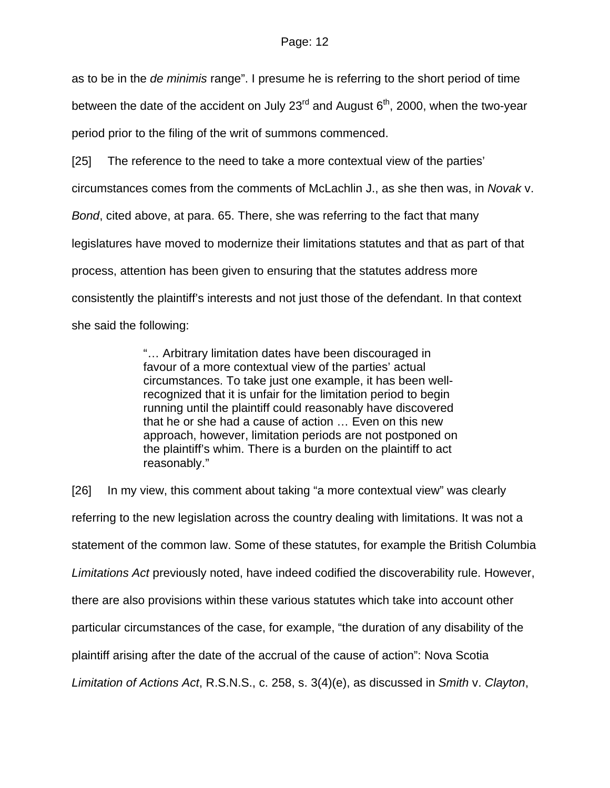as to be in the *de minimis* range". I presume he is referring to the short period of time between the date of the accident on July  $23<sup>rd</sup>$  and August  $6<sup>th</sup>$ , 2000, when the two-year period prior to the filing of the writ of summons commenced.

[25] The reference to the need to take a more contextual view of the parties' circumstances comes from the comments of McLachlin J., as she then was, in *Novak* v. *Bond*, cited above, at para. 65. There, she was referring to the fact that many legislatures have moved to modernize their limitations statutes and that as part of that process, attention has been given to ensuring that the statutes address more consistently the plaintiff's interests and not just those of the defendant. In that context she said the following:

> "… Arbitrary limitation dates have been discouraged in favour of a more contextual view of the parties' actual circumstances. To take just one example, it has been wellrecognized that it is unfair for the limitation period to begin running until the plaintiff could reasonably have discovered that he or she had a cause of action … Even on this new approach, however, limitation periods are not postponed on the plaintiff's whim. There is a burden on the plaintiff to act reasonably."

[26] In my view, this comment about taking "a more contextual view" was clearly referring to the new legislation across the country dealing with limitations. It was not a statement of the common law. Some of these statutes, for example the British Columbia *Limitations Act* previously noted, have indeed codified the discoverability rule. However, there are also provisions within these various statutes which take into account other particular circumstances of the case, for example, "the duration of any disability of the plaintiff arising after the date of the accrual of the cause of action": Nova Scotia *Limitation of Actions Act*, R.S.N.S., c. 258, s. 3(4)(e), as discussed in *Smith* v. *Clayton*,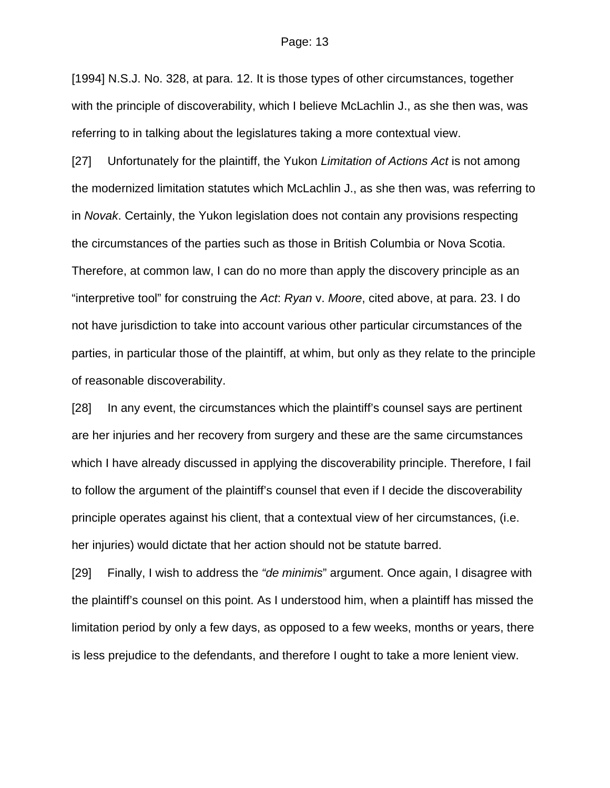[1994] N.S.J. No. 328, at para. 12. It is those types of other circumstances, together with the principle of discoverability, which I believe McLachlin J., as she then was, was referring to in talking about the legislatures taking a more contextual view.

[27] Unfortunately for the plaintiff, the Yukon *Limitation of Actions Act* is not among the modernized limitation statutes which McLachlin J., as she then was, was referring to in *Novak*. Certainly, the Yukon legislation does not contain any provisions respecting the circumstances of the parties such as those in British Columbia or Nova Scotia. Therefore, at common law, I can do no more than apply the discovery principle as an "interpretive tool" for construing the *Act*: *Ryan* v. *Moore*, cited above, at para. 23. I do not have jurisdiction to take into account various other particular circumstances of the parties, in particular those of the plaintiff, at whim, but only as they relate to the principle of reasonable discoverability.

[28] In any event, the circumstances which the plaintiff's counsel says are pertinent are her injuries and her recovery from surgery and these are the same circumstances which I have already discussed in applying the discoverability principle. Therefore, I fail to follow the argument of the plaintiff's counsel that even if I decide the discoverability principle operates against his client, that a contextual view of her circumstances, (i.e. her injuries) would dictate that her action should not be statute barred.

[29] Finally, I wish to address the *"de minimis*" argument. Once again, I disagree with the plaintiff's counsel on this point. As I understood him, when a plaintiff has missed the limitation period by only a few days, as opposed to a few weeks, months or years, there is less prejudice to the defendants, and therefore I ought to take a more lenient view.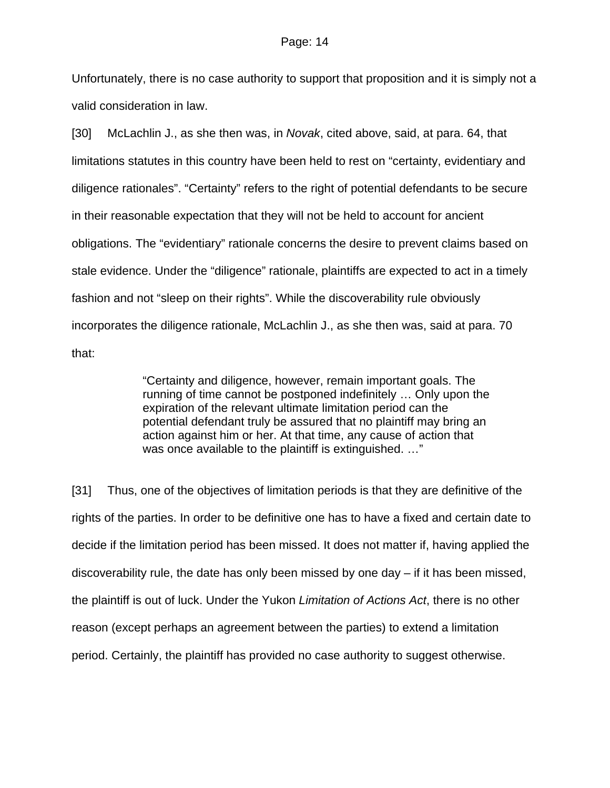Unfortunately, there is no case authority to support that proposition and it is simply not a valid consideration in law.

[30] McLachlin J., as she then was, in *Novak*, cited above, said, at para. 64, that limitations statutes in this country have been held to rest on "certainty, evidentiary and diligence rationales". "Certainty" refers to the right of potential defendants to be secure in their reasonable expectation that they will not be held to account for ancient obligations. The "evidentiary" rationale concerns the desire to prevent claims based on stale evidence. Under the "diligence" rationale, plaintiffs are expected to act in a timely fashion and not "sleep on their rights". While the discoverability rule obviously incorporates the diligence rationale, McLachlin J., as she then was, said at para. 70 that:

> "Certainty and diligence, however, remain important goals. The running of time cannot be postponed indefinitely … Only upon the expiration of the relevant ultimate limitation period can the potential defendant truly be assured that no plaintiff may bring an action against him or her. At that time, any cause of action that was once available to the plaintiff is extinguished. ..."

[31] Thus, one of the objectives of limitation periods is that they are definitive of the rights of the parties. In order to be definitive one has to have a fixed and certain date to decide if the limitation period has been missed. It does not matter if, having applied the discoverability rule, the date has only been missed by one day – if it has been missed, the plaintiff is out of luck. Under the Yukon *Limitation of Actions Act*, there is no other reason (except perhaps an agreement between the parties) to extend a limitation period. Certainly, the plaintiff has provided no case authority to suggest otherwise.